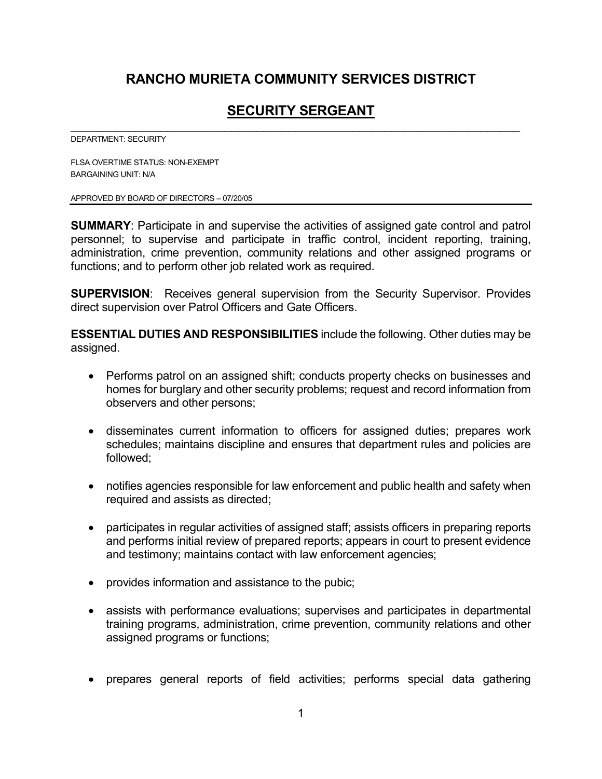# **RANCHO MURIETA COMMUNITY SERVICES DISTRICT**

# **SECURITY SERGEANT**

\_\_\_\_\_\_\_\_\_\_\_\_\_\_\_\_\_\_\_\_\_\_\_\_\_\_\_\_\_\_\_\_\_\_\_\_\_\_\_\_\_\_\_\_\_\_\_\_\_\_\_\_\_\_\_\_\_\_\_\_\_\_\_\_\_\_\_\_\_\_

DEPARTMENT: SECURITY

FLSA OVERTIME STATUS: NON-EXEMPT BARGAINING UNIT: N/A

APPROVED BY BOARD OF DIRECTORS – 07/20/05

**SUMMARY**: Participate in and supervise the activities of assigned gate control and patrol personnel; to supervise and participate in traffic control, incident reporting, training, administration, crime prevention, community relations and other assigned programs or functions; and to perform other job related work as required.

**SUPERVISION**: Receives general supervision from the Security Supervisor. Provides direct supervision over Patrol Officers and Gate Officers.

**ESSENTIAL DUTIES AND RESPONSIBILITIES** include the following. Other duties may be assigned.

- Performs patrol on an assigned shift; conducts property checks on businesses and homes for burglary and other security problems; request and record information from observers and other persons;
- disseminates current information to officers for assigned duties; prepares work schedules; maintains discipline and ensures that department rules and policies are followed;
- notifies agencies responsible for law enforcement and public health and safety when required and assists as directed;
- participates in regular activities of assigned staff; assists officers in preparing reports and performs initial review of prepared reports; appears in court to present evidence and testimony; maintains contact with law enforcement agencies;
- provides information and assistance to the pubic;
- assists with performance evaluations; supervises and participates in departmental training programs, administration, crime prevention, community relations and other assigned programs or functions;
- prepares general reports of field activities; performs special data gathering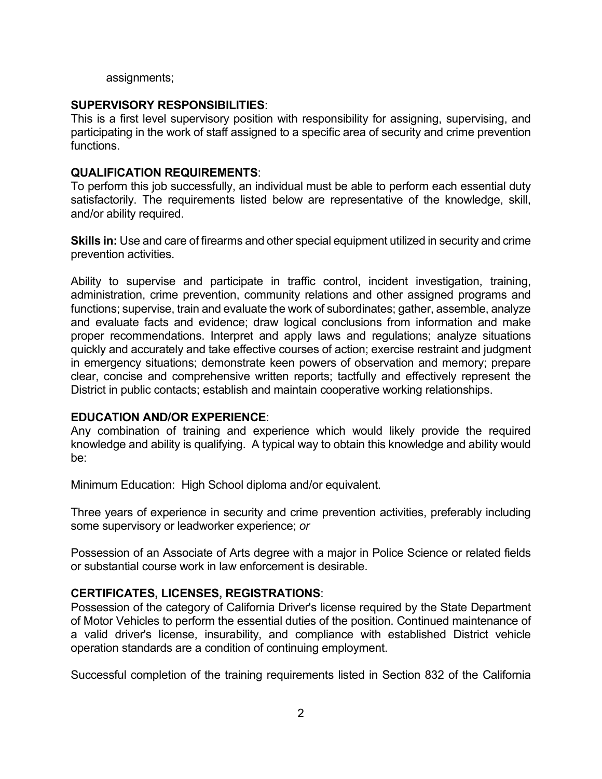assignments;

### **SUPERVISORY RESPONSIBILITIES**:

This is a first level supervisory position with responsibility for assigning, supervising, and participating in the work of staff assigned to a specific area of security and crime prevention functions.

#### **QUALIFICATION REQUIREMENTS**:

To perform this job successfully, an individual must be able to perform each essential duty satisfactorily. The requirements listed below are representative of the knowledge, skill, and/or ability required.

**Skills in:** Use and care of firearms and other special equipment utilized in security and crime prevention activities.

Ability to supervise and participate in traffic control, incident investigation, training, administration, crime prevention, community relations and other assigned programs and functions; supervise, train and evaluate the work of subordinates; gather, assemble, analyze and evaluate facts and evidence; draw logical conclusions from information and make proper recommendations. Interpret and apply laws and regulations; analyze situations quickly and accurately and take effective courses of action; exercise restraint and judgment in emergency situations; demonstrate keen powers of observation and memory; prepare clear, concise and comprehensive written reports; tactfully and effectively represent the District in public contacts; establish and maintain cooperative working relationships.

#### **EDUCATION AND/OR EXPERIENCE**:

Any combination of training and experience which would likely provide the required knowledge and ability is qualifying. A typical way to obtain this knowledge and ability would be:

Minimum Education: High School diploma and/or equivalent.

Three years of experience in security and crime prevention activities, preferably including some supervisory or leadworker experience; *or*

Possession of an Associate of Arts degree with a major in Police Science or related fields or substantial course work in law enforcement is desirable.

## **CERTIFICATES, LICENSES, REGISTRATIONS**:

Possession of the category of California Driver's license required by the State Department of Motor Vehicles to perform the essential duties of the position. Continued maintenance of a valid driver's license, insurability, and compliance with established District vehicle operation standards are a condition of continuing employment.

Successful completion of the training requirements listed in Section 832 of the California